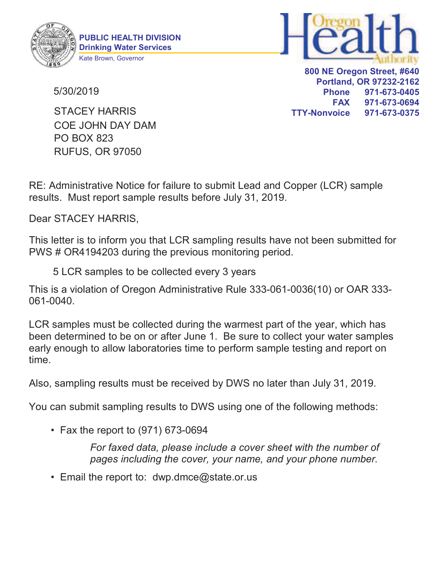

PUBLIC HEALTH DIVISION Drinking Water Services Kate Brown, Governor



800 NE Oregon Street, #640 Portland, OR 97232-2162 Phone 971-673-0405 FAX 971-673-0694 TTY-Nonvoice 971-673-0375

5/30/2019

PO BOX 823 RUFUS, OR 97050 COE JOHN DAY DAM STACEY HARRIS

RE: Administrative Notice for failure to submit Lead and Copper (LCR) sample results. Must report sample results before July 31, 2019.

Dear STACEY HARRIS,

This letter is to inform you that LCR sampling results have not been submitted for PWS # OR4194203 during the previous monitoring period.

5 LCR samples to be collected every 3 years

This is a violation of Oregon Administrative Rule 333-061-0036(10) or OAR 333- 061-0040.

LCR samples must be collected during the warmest part of the year, which has been determined to be on or after June 1. Be sure to collect your water samples early enough to allow laboratories time to perform sample testing and report on time.

Also, sampling results must be received by DWS no later than July 31, 2019.

You can submit sampling results to DWS using one of the following methods:

• Fax the report to (971) 673-0694

For faxed data, please include a cover sheet with the number of pages including the cover, your name, and your phone number.

• Email the report to:  $dwp.dmce@state.$  or us